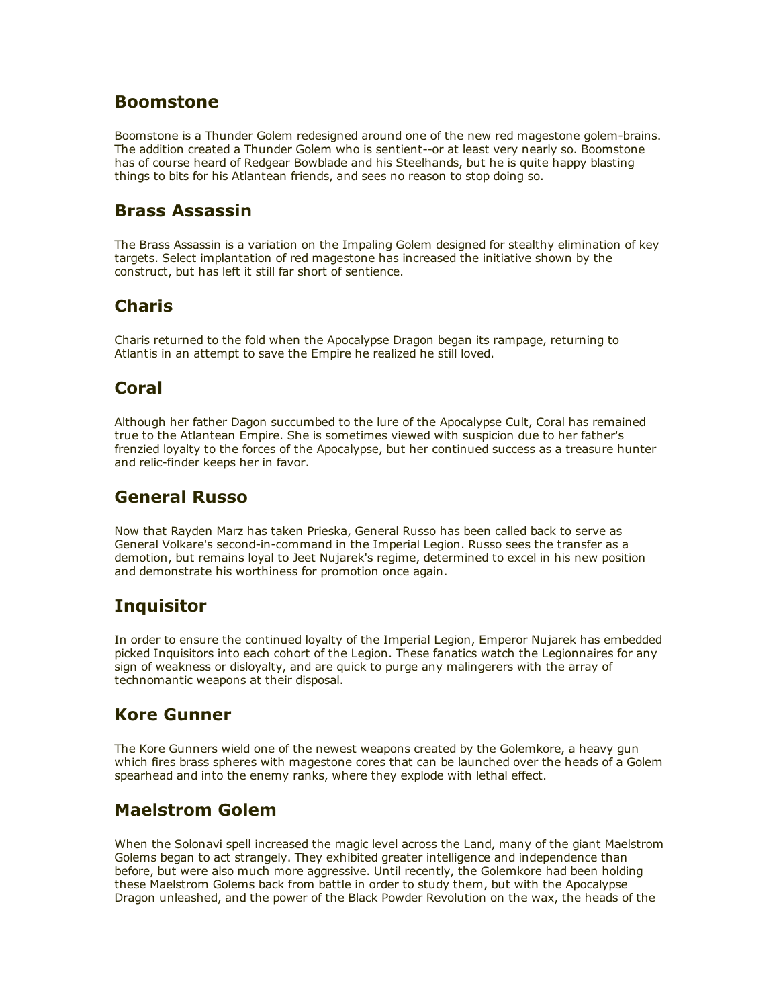#### Boomstone

Boomstone is a Thunder Golem redesigned around one of the new red magestone golem-brains. The addition created a Thunder Golem who is sentient--or at least very nearly so. Boomstone has of course heard of Redgear Bowblade and his Steelhands, but he is quite happy blasting things to bits for his Atlantean friends, and sees no reason to stop doing so.

#### Brass Assassin

The Brass Assassin is a variation on the Impaling Golem designed for stealthy elimination of key targets. Select implantation of red magestone has increased the initiative shown by the construct, but has left it still far short of sentience.

# Charis

Charis returned to the fold when the Apocalypse Dragon began its rampage, returning to Atlantis in an attempt to save the Empire he realized he still loved.

# Coral

Although her father Dagon succumbed to the lure of the Apocalypse Cult, Coral has remained true to the Atlantean Empire. She is sometimes viewed with suspicion due to her father's frenzied loyalty to the forces of the Apocalypse, but her continued success as a treasure hunter and relic-finder keeps her in favor.

## General Russo

Now that Rayden Marz has taken Prieska, General Russo has been called back to serve as General Volkare's second-in-command in the Imperial Legion. Russo sees the transfer as a demotion, but remains loyal to Jeet Nujarek's regime, determined to excel in his new position and demonstrate his worthiness for promotion once again.

# **Inquisitor**

In order to ensure the continued loyalty of the Imperial Legion, Emperor Nujarek has embedded picked Inquisitors into each cohort of the Legion. These fanatics watch the Legionnaires for any sign of weakness or disloyalty, and are quick to purge any malingerers with the array of technomantic weapons at their disposal.

# Kore Gunner

The Kore Gunners wield one of the newest weapons created by the Golemkore, a heavy gun which fires brass spheres with magestone cores that can be launched over the heads of a Golem spearhead and into the enemy ranks, where they explode with lethal effect.

# Maelstrom Golem

When the Solonavi spell increased the magic level across the Land, many of the giant Maelstrom Golems began to act strangely. They exhibited greater intelligence and independence than before, but were also much more aggressive. Until recently, the Golemkore had been holding these Maelstrom Golems back from battle in order to study them, but with the Apocalypse Dragon unleashed, and the power of the Black Powder Revolution on the wax, the heads of the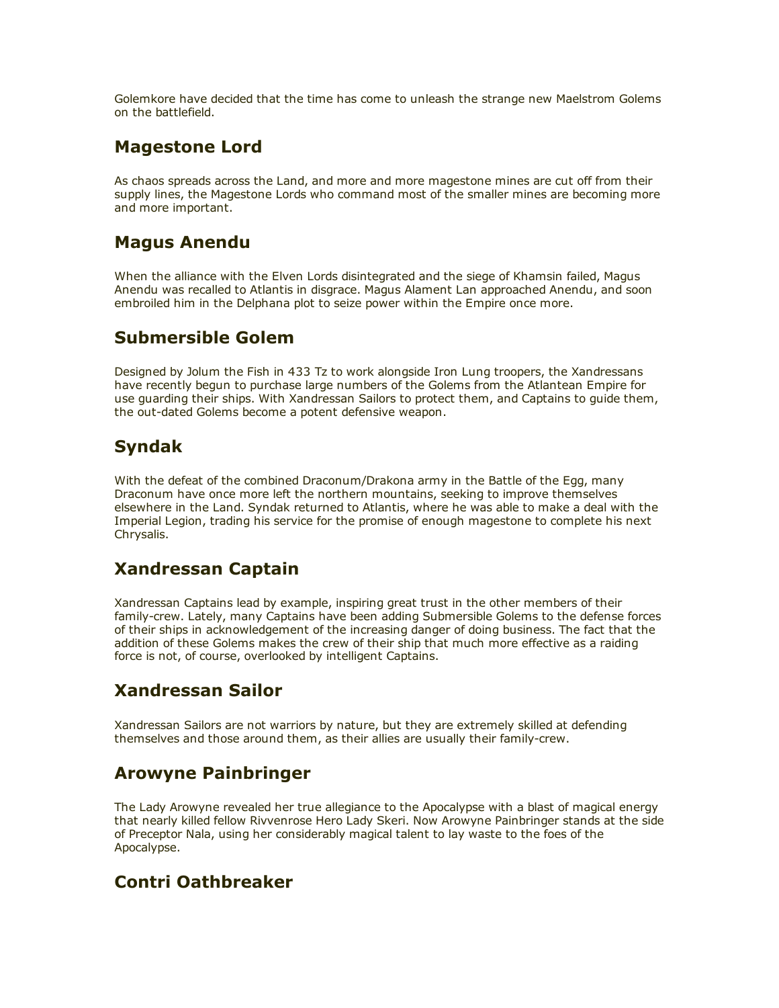Golemkore have decided that the time has come to unleash the strange new Maelstrom Golems on the battlefield.

### Magestone Lord

As chaos spreads across the Land, and more and more magestone mines are cut off from their supply lines, the Magestone Lords who command most of the smaller mines are becoming more and more important.

## Magus Anendu

When the alliance with the Elven Lords disintegrated and the siege of Khamsin failed, Magus Anendu was recalled to Atlantis in disgrace. Magus Alament Lan approached Anendu, and soon embroiled him in the Delphana plot to seize power within the Empire once more.

# Submersible Golem

Designed by Jolum the Fish in 433 Tz to work alongside Iron Lung troopers, the Xandressans have recently begun to purchase large numbers of the Golems from the Atlantean Empire for use guarding their ships. With Xandressan Sailors to protect them, and Captains to guide them, the out-dated Golems become a potent defensive weapon.

# Syndak

With the defeat of the combined Draconum/Drakona army in the Battle of the Egg, many Draconum have once more left the northern mountains, seeking to improve themselves elsewhere in the Land. Syndak returned to Atlantis, where he was able to make a deal with the Imperial Legion, trading his service for the promise of enough magestone to complete his next Chrysalis.

# Xandressan Captain

Xandressan Captains lead by example, inspiring great trust in the other members of their family-crew. Lately, many Captains have been adding Submersible Golems to the defense forces of their ships in acknowledgement of the increasing danger of doing business. The fact that the addition of these Golems makes the crew of their ship that much more effective as a raiding force is not, of course, overlooked by intelligent Captains.

# Xandressan Sailor

Xandressan Sailors are not warriors by nature, but they are extremely skilled at defending themselves and those around them, as their allies are usually their family-crew.

# Arowyne Painbringer

The Lady Arowyne revealed her true allegiance to the Apocalypse with a blast of magical energy that nearly killed fellow Rivvenrose Hero Lady Skeri. Now Arowyne Painbringer stands at the side of Preceptor Nala, using her considerably magical talent to lay waste to the foes of the Apocalypse.

#### Contri Oathbreaker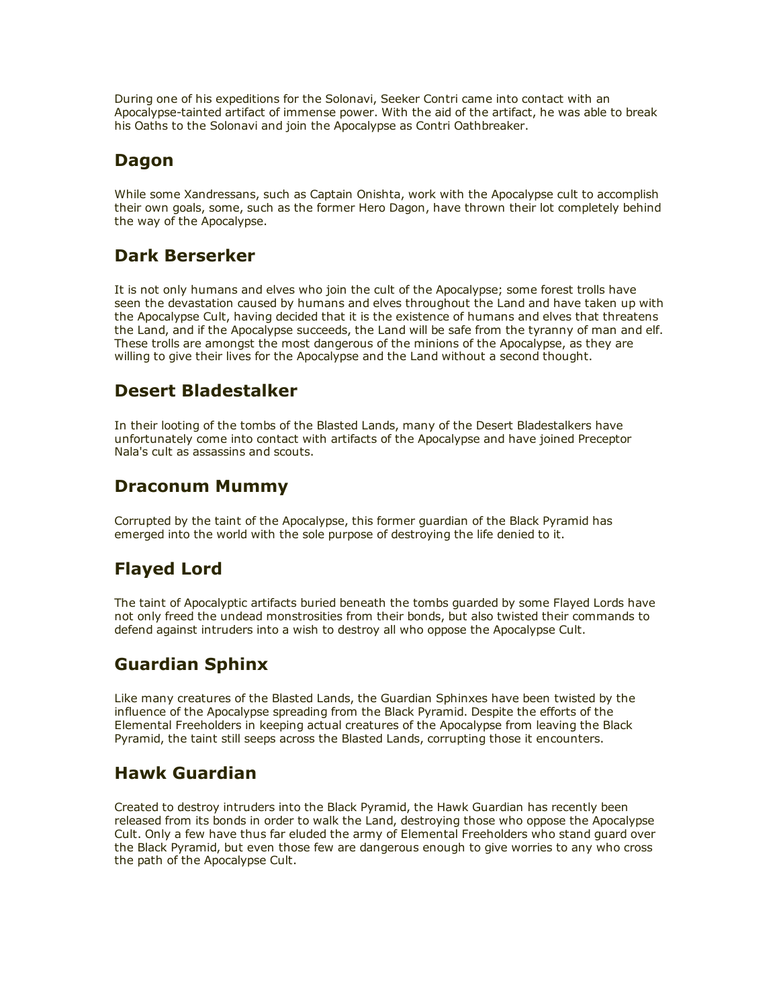During one of his expeditions for the Solonavi, Seeker Contri came into contact with an Apocalypse-tainted artifact of immense power. With the aid of the artifact, he was able to break his Oaths to the Solonavi and join the Apocalypse as Contri Oathbreaker.

# Dagon

While some Xandressans, such as Captain Onishta, work with the Apocalypse cult to accomplish their own goals, some, such as the former Hero Dagon, have thrown their lot completely behind the way of the Apocalypse.

# Dark Berserker

It is not only humans and elves who join the cult of the Apocalypse; some forest trolls have seen the devastation caused by humans and elves throughout the Land and have taken up with the Apocalypse Cult, having decided that it is the existence of humans and elves that threatens the Land, and if the Apocalypse succeeds, the Land will be safe from the tyranny of man and elf. These trolls are amongst the most dangerous of the minions of the Apocalypse, as they are willing to give their lives for the Apocalypse and the Land without a second thought.

# Desert Bladestalker

In their looting of the tombs of the Blasted Lands, many of the Desert Bladestalkers have unfortunately come into contact with artifacts of the Apocalypse and have joined Preceptor Nala's cult as assassins and scouts.

# Draconum Mummy

Corrupted by the taint of the Apocalypse, this former guardian of the Black Pyramid has emerged into the world with the sole purpose of destroying the life denied to it.

# Flayed Lord

The taint of Apocalyptic artifacts buried beneath the tombs guarded by some Flayed Lords have not only freed the undead monstrosities from their bonds, but also twisted their commands to defend against intruders into a wish to destroy all who oppose the Apocalypse Cult.

# Guardian Sphinx

Like many creatures of the Blasted Lands, the Guardian Sphinxes have been twisted by the influence of the Apocalypse spreading from the Black Pyramid. Despite the efforts of the Elemental Freeholders in keeping actual creatures of the Apocalypse from leaving the Black Pyramid, the taint still seeps across the Blasted Lands, corrupting those it encounters.

# Hawk Guardian

Created to destroy intruders into the Black Pyramid, the Hawk Guardian has recently been released from its bonds in order to walk the Land, destroying those who oppose the Apocalypse Cult. Only a few have thus far eluded the army of Elemental Freeholders who stand guard over the Black Pyramid, but even those few are dangerous enough to give worries to any who cross the path of the Apocalypse Cult.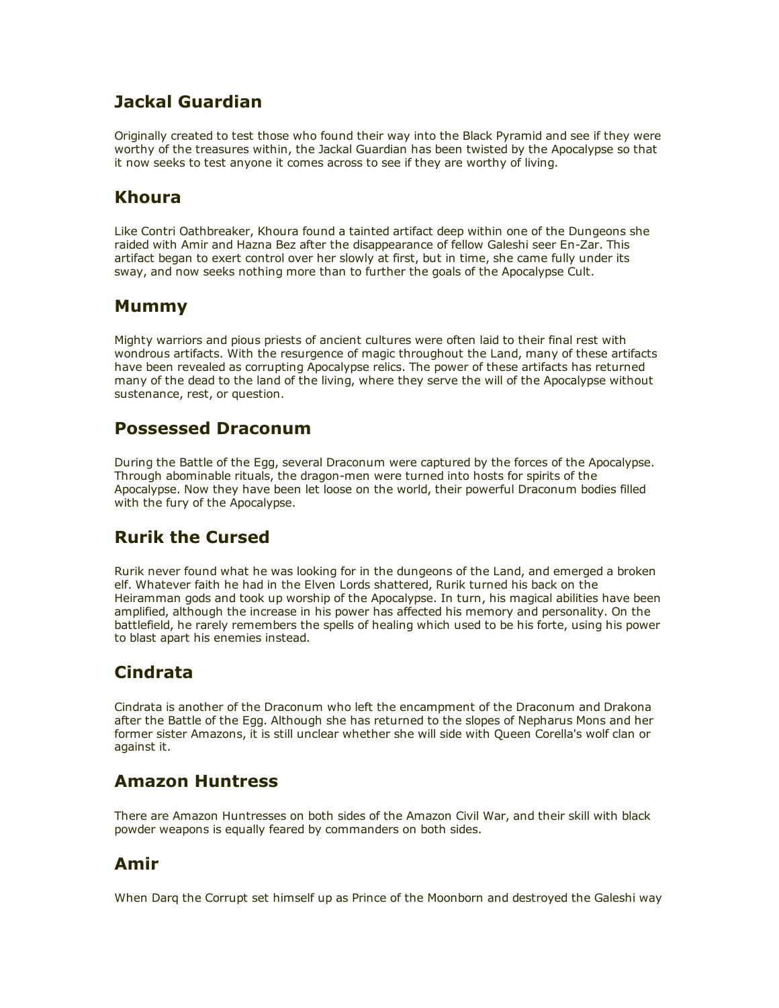# Jackal Guardian

Originally created to test those who found their way into the Black Pyramid and see if they were worthy of the treasures within, the Jackal Guardian has been twisted by the Apocalypse so that it now seeks to test anyone it comes across to see if they are worthy of living.

#### Khoura

Like Contri Oathbreaker, Khoura found a tainted artifact deep within one of the Dungeons she raided with Amir and Hazna Bez after the disappearance of fellow Galeshi seer En-Zar. This artifact began to exert control over her slowly at first, but in time, she came fully under its sway, and now seeks nothing more than to further the goals of the Apocalypse Cult.

#### Mummy

Mighty warriors and pious priests of ancient cultures were often laid to their final rest with wondrous artifacts. With the resurgence of magic throughout the Land, many of these artifacts have been revealed as corrupting Apocalypse relics. The power of these artifacts has returned many of the dead to the land of the living, where they serve the will of the Apocalypse without sustenance, rest, or question.

#### Possessed Draconum

During the Battle of the Egg, several Draconum were captured by the forces of the Apocalypse. Through abominable rituals, the dragon-men were turned into hosts for spirits of the Apocalypse. Now they have been let loose on the world, their powerful Draconum bodies filled with the fury of the Apocalypse.

# Rurik the Cursed

Rurik never found what he was looking for in the dungeons of the Land, and emerged a broken elf. Whatever faith he had in the Elven Lords shattered, Rurik turned his back on the Heiramman gods and took up worship of the Apocalypse. In turn, his magical abilities have been amplified, although the increase in his power has affected his memory and personality. On the battlefield, he rarely remembers the spells of healing which used to be his forte, using his power to blast apart his enemies instead.

# Cindrata

Cindrata is another of the Draconum who left the encampment of the Draconum and Drakona after the Battle of the Egg. Although she has returned to the slopes of Nepharus Mons and her former sister Amazons, it is still unclear whether she will side with Queen Corella's wolf clan or against it.

# Amazon Huntress

There are Amazon Huntresses on both sides of the Amazon Civil War, and their skill with black powder weapons is equally feared by commanders on both sides.

# Amir

When Darq the Corrupt set himself up as Prince of the Moonborn and destroyed the Galeshi way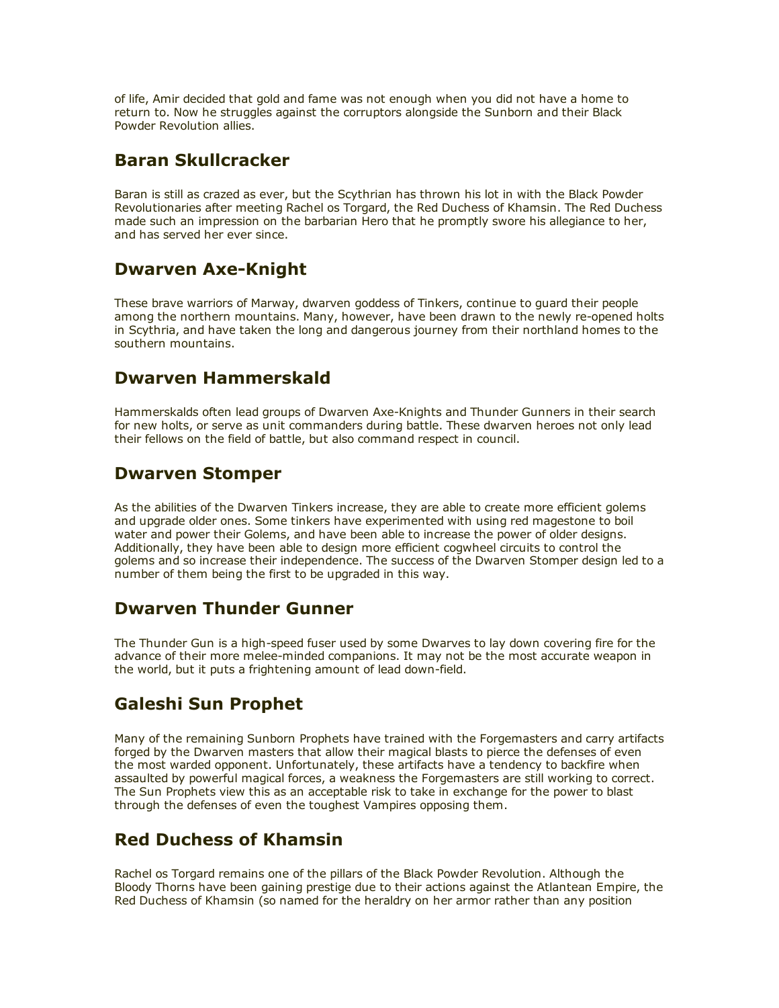of life, Amir decided that gold and fame was not enough when you did not have a home to return to. Now he struggles against the corruptors alongside the Sunborn and their Black Powder Revolution allies.

#### Baran Skullcracker

Baran is still as crazed as ever, but the Scythrian has thrown his lot in with the Black Powder Revolutionaries after meeting Rachel os Torgard, the Red Duchess of Khamsin. The Red Duchess made such an impression on the barbarian Hero that he promptly swore his allegiance to her, and has served her ever since.

# Dwarven Axe-Knight

These brave warriors of Marway, dwarven goddess of Tinkers, continue to guard their people among the northern mountains. Many, however, have been drawn to the newly re-opened holts in Scythria, and have taken the long and dangerous journey from their northland homes to the southern mountains.

#### Dwarven Hammerskald

Hammerskalds often lead groups of Dwarven Axe-Knights and Thunder Gunners in their search for new holts, or serve as unit commanders during battle. These dwarven heroes not only lead their fellows on the field of battle, but also command respect in council.

#### Dwarven Stomper

As the abilities of the Dwarven Tinkers increase, they are able to create more efficient golems and upgrade older ones. Some tinkers have experimented with using red magestone to boil water and power their Golems, and have been able to increase the power of older designs. Additionally, they have been able to design more efficient cogwheel circuits to control the golems and so increase their independence. The success of the Dwarven Stomper design led to a number of them being the first to be upgraded in this way.

#### Dwarven Thunder Gunner

The Thunder Gun is a high-speed fuser used by some Dwarves to lay down covering fire for the advance of their more melee-minded companions. It may not be the most accurate weapon in the world, but it puts a frightening amount of lead down-field.

# Galeshi Sun Prophet

Many of the remaining Sunborn Prophets have trained with the Forgemasters and carry artifacts forged by the Dwarven masters that allow their magical blasts to pierce the defenses of even the most warded opponent. Unfortunately, these artifacts have a tendency to backfire when assaulted by powerful magical forces, a weakness the Forgemasters are still working to correct. The Sun Prophets view this as an acceptable risk to take in exchange for the power to blast through the defenses of even the toughest Vampires opposing them.

# Red Duchess of Khamsin

Rachel os Torgard remains one of the pillars of the Black Powder Revolution. Although the Bloody Thorns have been gaining prestige due to their actions against the Atlantean Empire, the Red Duchess of Khamsin (so named for the heraldry on her armor rather than any position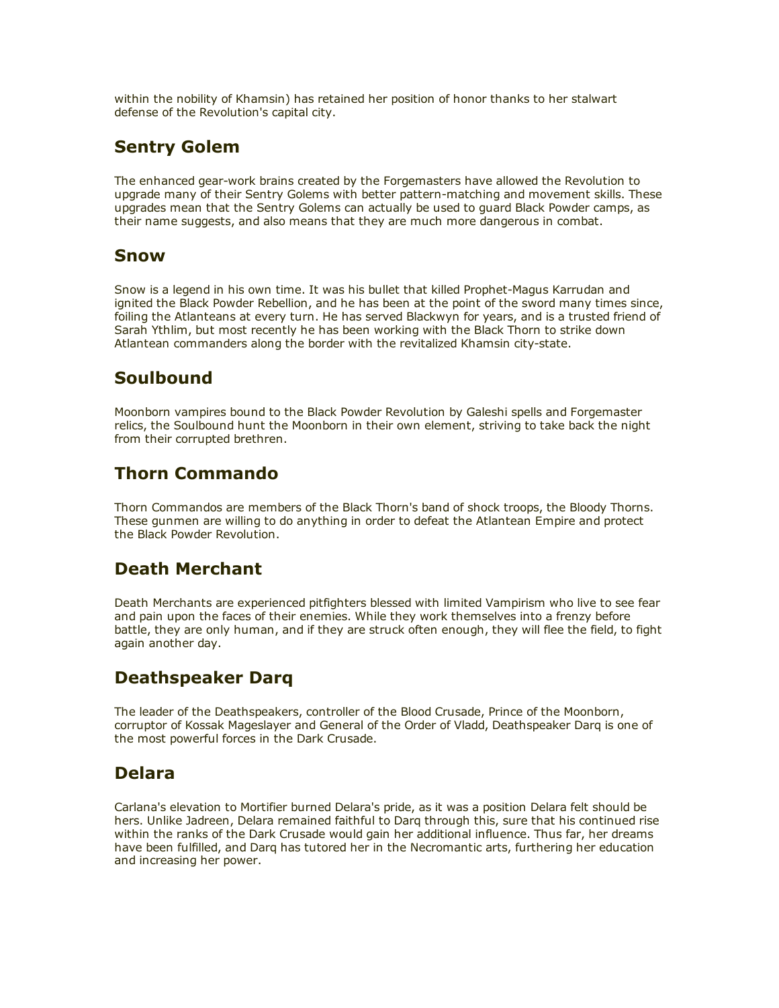within the nobility of Khamsin) has retained her position of honor thanks to her stalwart defense of the Revolution's capital city.

### Sentry Golem

The enhanced gear-work brains created by the Forgemasters have allowed the Revolution to upgrade many of their Sentry Golems with better pattern-matching and movement skills. These upgrades mean that the Sentry Golems can actually be used to guard Black Powder camps, as their name suggests, and also means that they are much more dangerous in combat.

#### Snow

Snow is a legend in his own time. It was his bullet that killed Prophet-Magus Karrudan and ignited the Black Powder Rebellion, and he has been at the point of the sword many times since, foiling the Atlanteans at every turn. He has served Blackwyn for years, and is a trusted friend of Sarah Ythlim, but most recently he has been working with the Black Thorn to strike down Atlantean commanders along the border with the revitalized Khamsin city-state.

# **Soulbound**

Moonborn vampires bound to the Black Powder Revolution by Galeshi spells and Forgemaster relics, the Soulbound hunt the Moonborn in their own element, striving to take back the night from their corrupted brethren.

# Thorn Commando

Thorn Commandos are members of the Black Thorn's band of shock troops, the Bloody Thorns. These gunmen are willing to do anything in order to defeat the Atlantean Empire and protect the Black Powder Revolution.

#### Death Merchant

Death Merchants are experienced pitfighters blessed with limited Vampirism who live to see fear and pain upon the faces of their enemies. While they work themselves into a frenzy before battle, they are only human, and if they are struck often enough, they will flee the field, to fight again another day.

# Deathspeaker Darq

The leader of the Deathspeakers, controller of the Blood Crusade, Prince of the Moonborn, corruptor of Kossak Mageslayer and General of the Order of Vladd, Deathspeaker Darq is one of the most powerful forces in the Dark Crusade.

#### Delara

Carlana's elevation to Mortifier burned Delara's pride, as it was a position Delara felt should be hers. Unlike Jadreen, Delara remained faithful to Darq through this, sure that his continued rise within the ranks of the Dark Crusade would gain her additional influence. Thus far, her dreams have been fulfilled, and Darq has tutored her in the Necromantic arts, furthering her education and increasing her power.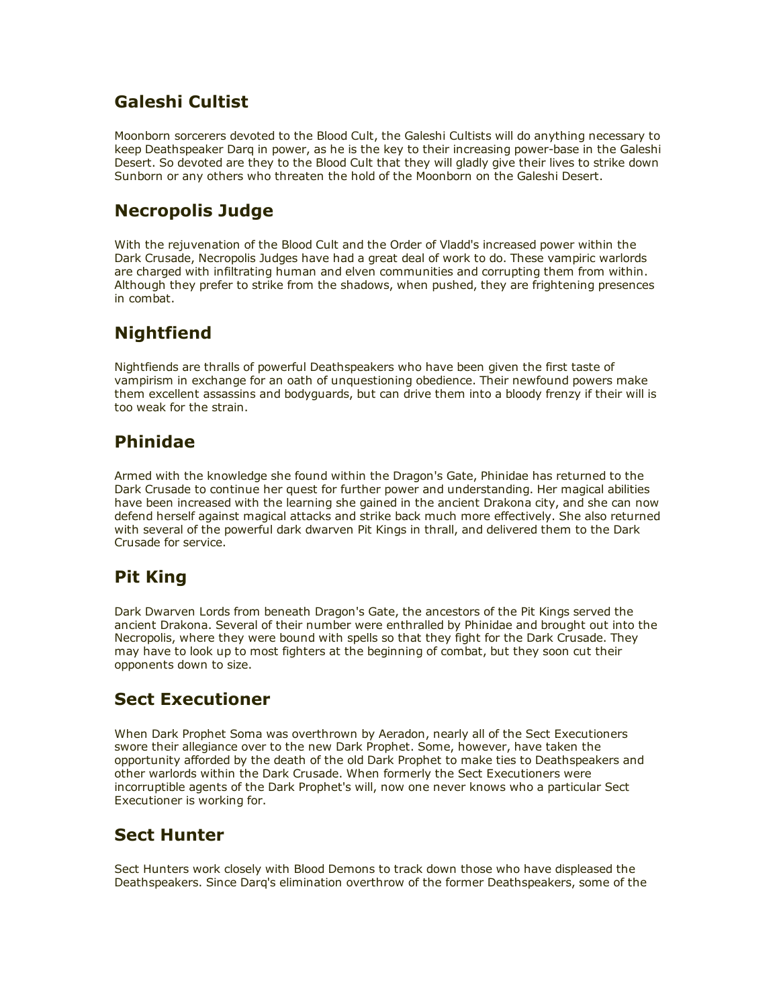# Galeshi Cultist

Moonborn sorcerers devoted to the Blood Cult, the Galeshi Cultists will do anything necessary to keep Deathspeaker Darq in power, as he is the key to their increasing power-base in the Galeshi Desert. So devoted are they to the Blood Cult that they will gladly give their lives to strike down Sunborn or any others who threaten the hold of the Moonborn on the Galeshi Desert.

# Necropolis Judge

With the rejuvenation of the Blood Cult and the Order of Vladd's increased power within the Dark Crusade, Necropolis Judges have had a great deal of work to do. These vampiric warlords are charged with infiltrating human and elven communities and corrupting them from within. Although they prefer to strike from the shadows, when pushed, they are frightening presences in combat.

# **Nightfiend**

Nightfiends are thralls of powerful Deathspeakers who have been given the first taste of vampirism in exchange for an oath of unquestioning obedience. Their newfound powers make them excellent assassins and bodyguards, but can drive them into a bloody frenzy if their will is too weak for the strain.

# Phinidae

Armed with the knowledge she found within the Dragon's Gate, Phinidae has returned to the Dark Crusade to continue her quest for further power and understanding. Her magical abilities have been increased with the learning she gained in the ancient Drakona city, and she can now defend herself against magical attacks and strike back much more effectively. She also returned with several of the powerful dark dwarven Pit Kings in thrall, and delivered them to the Dark Crusade for service.

# Pit King

Dark Dwarven Lords from beneath Dragon's Gate, the ancestors of the Pit Kings served the ancient Drakona. Several of their number were enthralled by Phinidae and brought out into the Necropolis, where they were bound with spells so that they fight for the Dark Crusade. They may have to look up to most fighters at the beginning of combat, but they soon cut their opponents down to size.

# Sect Executioner

When Dark Prophet Soma was overthrown by Aeradon, nearly all of the Sect Executioners swore their allegiance over to the new Dark Prophet. Some, however, have taken the opportunity afforded by the death of the old Dark Prophet to make ties to Deathspeakers and other warlords within the Dark Crusade. When formerly the Sect Executioners were incorruptible agents of the Dark Prophet's will, now one never knows who a particular Sect Executioner is working for.

# Sect Hunter

Sect Hunters work closely with Blood Demons to track down those who have displeased the Deathspeakers. Since Darq's elimination overthrow of the former Deathspeakers, some of the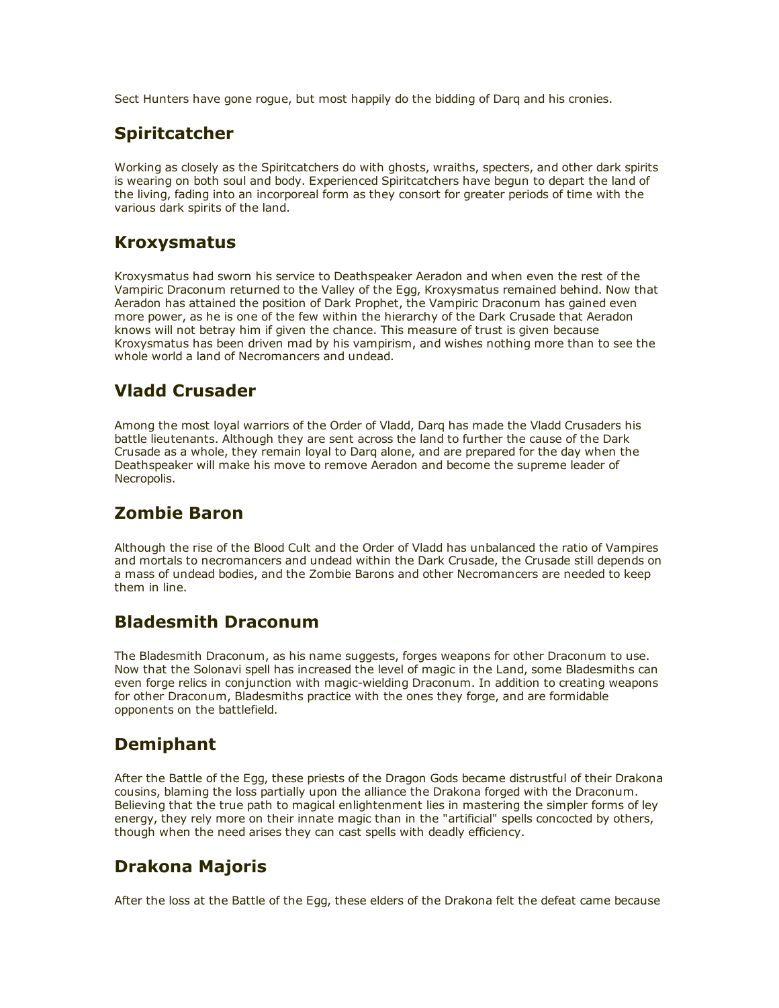Sect Hunters have gone rogue, but most happily do the bidding of Darq and his cronies.

### Spiritcatcher

Working as closely as the Spiritcatchers do with ghosts, wraiths, specters, and other dark spirits is wearing on both soul and body. Experienced Spiritcatchers have begun to depart the land of the living, fading into an incorporeal form as they consort for greater periods of time with the various dark spirits of the land.

#### Kroxysmatus

Kroxysmatus had sworn his service to Deathspeaker Aeradon and when even the rest of the Vampiric Draconum returned to the Valley of the Egg, Kroxysmatus remained behind. Now that Aeradon has attained the position of Dark Prophet, the Vampiric Draconum has gained even more power, as he is one of the few within the hierarchy of the Dark Crusade that Aeradon knows will not betray him if given the chance. This measure of trust is given because Kroxysmatus has been driven mad by his vampirism, and wishes nothing more than to see the whole world a land of Necromancers and undead.

# Vladd Crusader

Among the most loyal warriors of the Order of Vladd, Darq has made the Vladd Crusaders his battle lieutenants. Although they are sent across the land to further the cause of the Dark Crusade as a whole, they remain loyal to Darq alone, and are prepared for the day when the Deathspeaker will make his move to remove Aeradon and become the supreme leader of Necropolis.

# Zombie Baron

Although the rise of the Blood Cult and the Order of Vladd has unbalanced the ratio of Vampires and mortals to necromancers and undead within the Dark Crusade, the Crusade still depends on a mass of undead bodies, and the Zombie Barons and other Necromancers are needed to keep them in line.

#### Bladesmith Draconum

The Bladesmith Draconum, as his name suggests, forges weapons for other Draconum to use. Now that the Solonavi spell has increased the level of magic in the Land, some Bladesmiths can even forge relics in conjunction with magic-wielding Draconum. In addition to creating weapons for other Draconum, Bladesmiths practice with the ones they forge, and are formidable opponents on the battlefield.

# Demiphant

After the Battle of the Egg, these priests of the Dragon Gods became distrustful of their Drakona cousins, blaming the loss partially upon the alliance the Drakona forged with the Draconum. Believing that the true path to magical enlightenment lies in mastering the simpler forms of ley energy, they rely more on their innate magic than in the "artificial" spells concocted by others, though when the need arises they can cast spells with deadly efficiency.

# Drakona Majoris

After the loss at the Battle of the Egg, these elders of the Drakona felt the defeat came because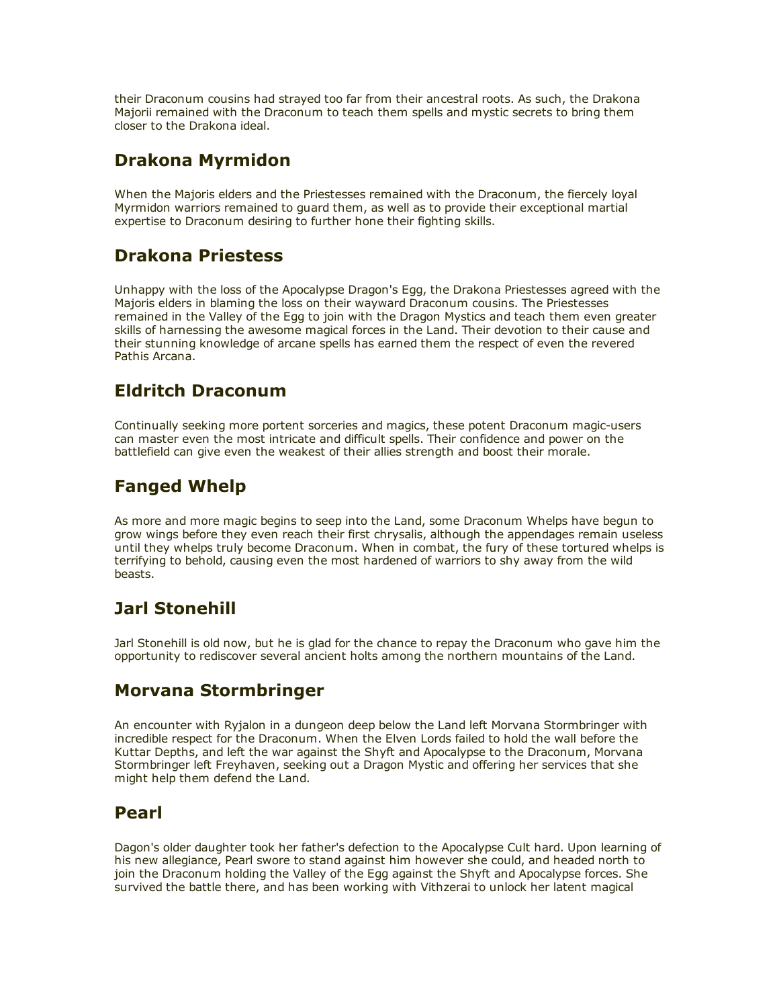their Draconum cousins had strayed too far from their ancestral roots. As such, the Drakona Majorii remained with the Draconum to teach them spells and mystic secrets to bring them closer to the Drakona ideal.

# Drakona Myrmidon

When the Majoris elders and the Priestesses remained with the Draconum, the fiercely loyal Myrmidon warriors remained to guard them, as well as to provide their exceptional martial expertise to Draconum desiring to further hone their fighting skills.

### Drakona Priestess

Unhappy with the loss of the Apocalypse Dragon's Egg, the Drakona Priestesses agreed with the Majoris elders in blaming the loss on their wayward Draconum cousins. The Priestesses remained in the Valley of the Egg to join with the Dragon Mystics and teach them even greater skills of harnessing the awesome magical forces in the Land. Their devotion to their cause and their stunning knowledge of arcane spells has earned them the respect of even the revered Pathis Arcana.

### Eldritch Draconum

Continually seeking more portent sorceries and magics, these potent Draconum magic-users can master even the most intricate and difficult spells. Their confidence and power on the battlefield can give even the weakest of their allies strength and boost their morale.

# Fanged Whelp

As more and more magic begins to seep into the Land, some Draconum Whelps have begun to grow wings before they even reach their first chrysalis, although the appendages remain useless until they whelps truly become Draconum. When in combat, the fury of these tortured whelps is terrifying to behold, causing even the most hardened of warriors to shy away from the wild beasts.

# Jarl Stonehill

Jarl Stonehill is old now, but he is glad for the chance to repay the Draconum who gave him the opportunity to rediscover several ancient holts among the northern mountains of the Land.

# Morvana Stormbringer

An encounter with Ryjalon in a dungeon deep below the Land left Morvana Stormbringer with incredible respect for the Draconum. When the Elven Lords failed to hold the wall before the Kuttar Depths, and left the war against the Shyft and Apocalypse to the Draconum, Morvana Stormbringer left Freyhaven, seeking out a Dragon Mystic and offering her services that she might help them defend the Land.

#### Pearl

Dagon's older daughter took her father's defection to the Apocalypse Cult hard. Upon learning of his new allegiance, Pearl swore to stand against him however she could, and headed north to join the Draconum holding the Valley of the Egg against the Shyft and Apocalypse forces. She survived the battle there, and has been working with Vithzerai to unlock her latent magical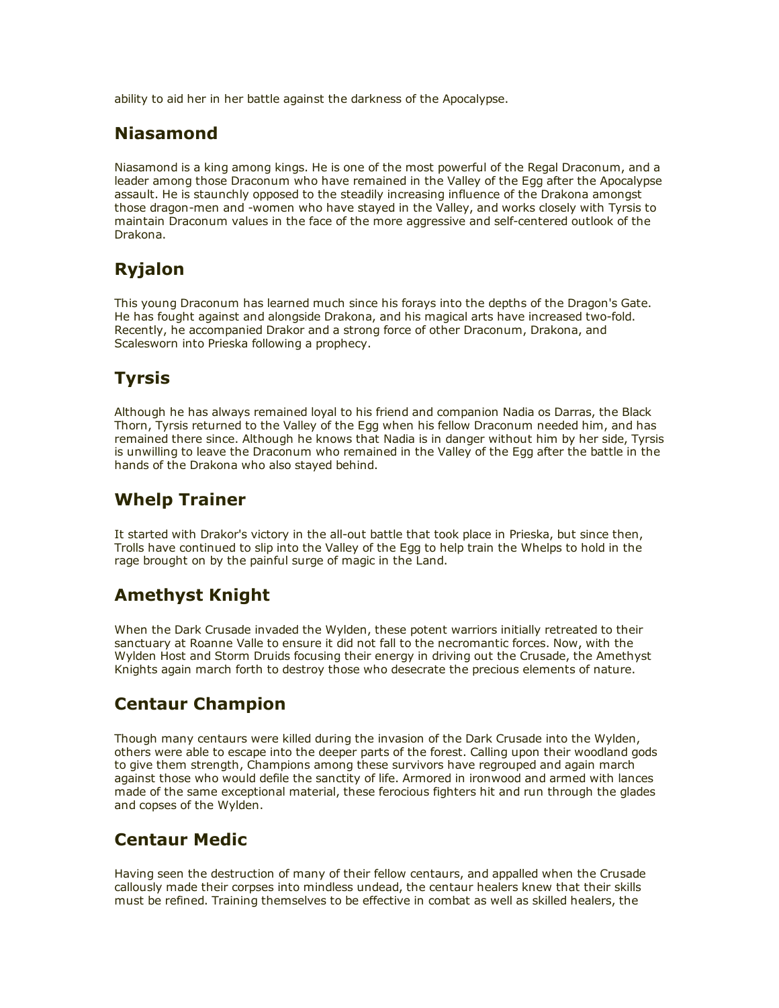ability to aid her in her battle against the darkness of the Apocalypse.

#### Niasamond

Niasamond is a king among kings. He is one of the most powerful of the Regal Draconum, and a leader among those Draconum who have remained in the Valley of the Egg after the Apocalypse assault. He is staunchly opposed to the steadily increasing influence of the Drakona amongst those dragon-men and -women who have stayed in the Valley, and works closely with Tyrsis to maintain Draconum values in the face of the more aggressive and self-centered outlook of the Drakona.

# Ryjalon

This young Draconum has learned much since his forays into the depths of the Dragon's Gate. He has fought against and alongside Drakona, and his magical arts have increased two-fold. Recently, he accompanied Drakor and a strong force of other Draconum, Drakona, and Scalesworn into Prieska following a prophecy.

# **Tyrsis**

Although he has always remained loyal to his friend and companion Nadia os Darras, the Black Thorn, Tyrsis returned to the Valley of the Egg when his fellow Draconum needed him, and has remained there since. Although he knows that Nadia is in danger without him by her side, Tyrsis is unwilling to leave the Draconum who remained in the Valley of the Egg after the battle in the hands of the Drakona who also stayed behind.

# Whelp Trainer

It started with Drakor's victory in the all-out battle that took place in Prieska, but since then, Trolls have continued to slip into the Valley of the Egg to help train the Whelps to hold in the rage brought on by the painful surge of magic in the Land.

# Amethyst Knight

When the Dark Crusade invaded the Wylden, these potent warriors initially retreated to their sanctuary at Roanne Valle to ensure it did not fall to the necromantic forces. Now, with the Wylden Host and Storm Druids focusing their energy in driving out the Crusade, the Amethyst Knights again march forth to destroy those who desecrate the precious elements of nature.

# Centaur Champion

Though many centaurs were killed during the invasion of the Dark Crusade into the Wylden, others were able to escape into the deeper parts of the forest. Calling upon their woodland gods to give them strength, Champions among these survivors have regrouped and again march against those who would defile the sanctity of life. Armored in ironwood and armed with lances made of the same exceptional material, these ferocious fighters hit and run through the glades and copses of the Wylden.

# Centaur Medic

Having seen the destruction of many of their fellow centaurs, and appalled when the Crusade callously made their corpses into mindless undead, the centaur healers knew that their skills must be refined. Training themselves to be effective in combat as well as skilled healers, the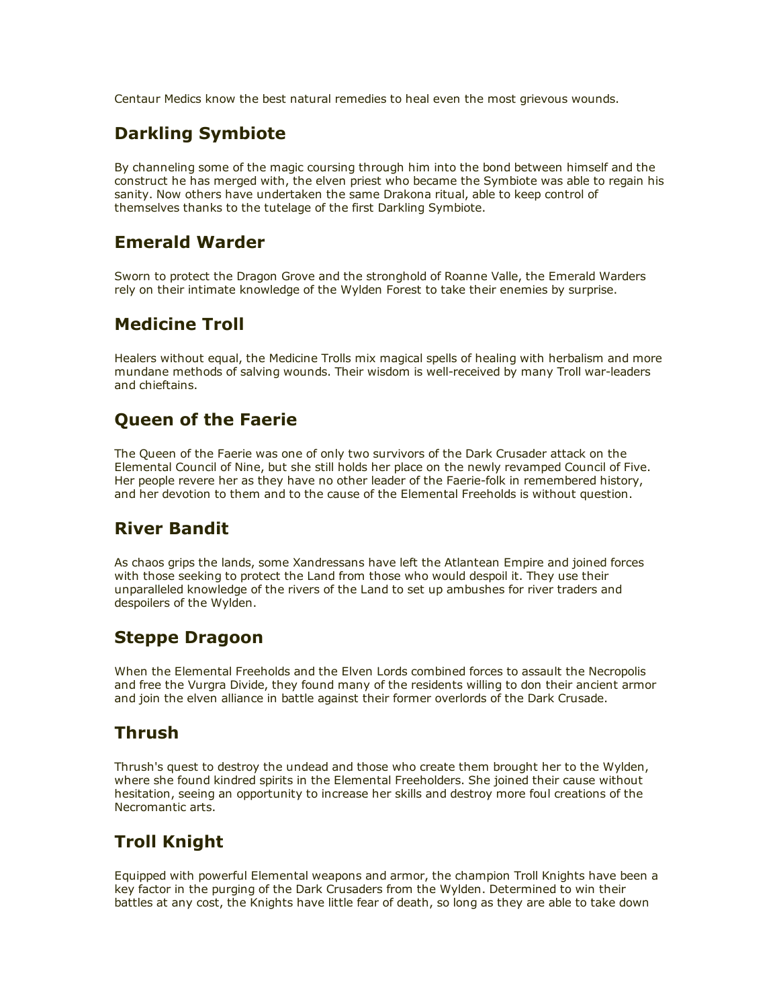Centaur Medics know the best natural remedies to heal even the most grievous wounds.

# Darkling Symbiote

By channeling some of the magic coursing through him into the bond between himself and the construct he has merged with, the elven priest who became the Symbiote was able to regain his sanity. Now others have undertaken the same Drakona ritual, able to keep control of themselves thanks to the tutelage of the first Darkling Symbiote.

## Emerald Warder

Sworn to protect the Dragon Grove and the stronghold of Roanne Valle, the Emerald Warders rely on their intimate knowledge of the Wylden Forest to take their enemies by surprise.

# Medicine Troll

Healers without equal, the Medicine Trolls mix magical spells of healing with herbalism and more mundane methods of salving wounds. Their wisdom is well-received by many Troll war-leaders and chieftains.

# Queen of the Faerie

The Queen of the Faerie was one of only two survivors of the Dark Crusader attack on the Elemental Council of Nine, but she still holds her place on the newly revamped Council of Five. Her people revere her as they have no other leader of the Faerie-folk in remembered history, and her devotion to them and to the cause of the Elemental Freeholds is without question.

# River Bandit

As chaos grips the lands, some Xandressans have left the Atlantean Empire and joined forces with those seeking to protect the Land from those who would despoil it. They use their unparalleled knowledge of the rivers of the Land to set up ambushes for river traders and despoilers of the Wylden.

#### Steppe Dragoon

When the Elemental Freeholds and the Elven Lords combined forces to assault the Necropolis and free the Vurgra Divide, they found many of the residents willing to don their ancient armor and join the elven alliance in battle against their former overlords of the Dark Crusade.

#### Thrush

Thrush's quest to destroy the undead and those who create them brought her to the Wylden, where she found kindred spirits in the Elemental Freeholders. She joined their cause without hesitation, seeing an opportunity to increase her skills and destroy more foul creations of the Necromantic arts.

# Troll Knight

Equipped with powerful Elemental weapons and armor, the champion Troll Knights have been a key factor in the purging of the Dark Crusaders from the Wylden. Determined to win their battles at any cost, the Knights have little fear of death, so long as they are able to take down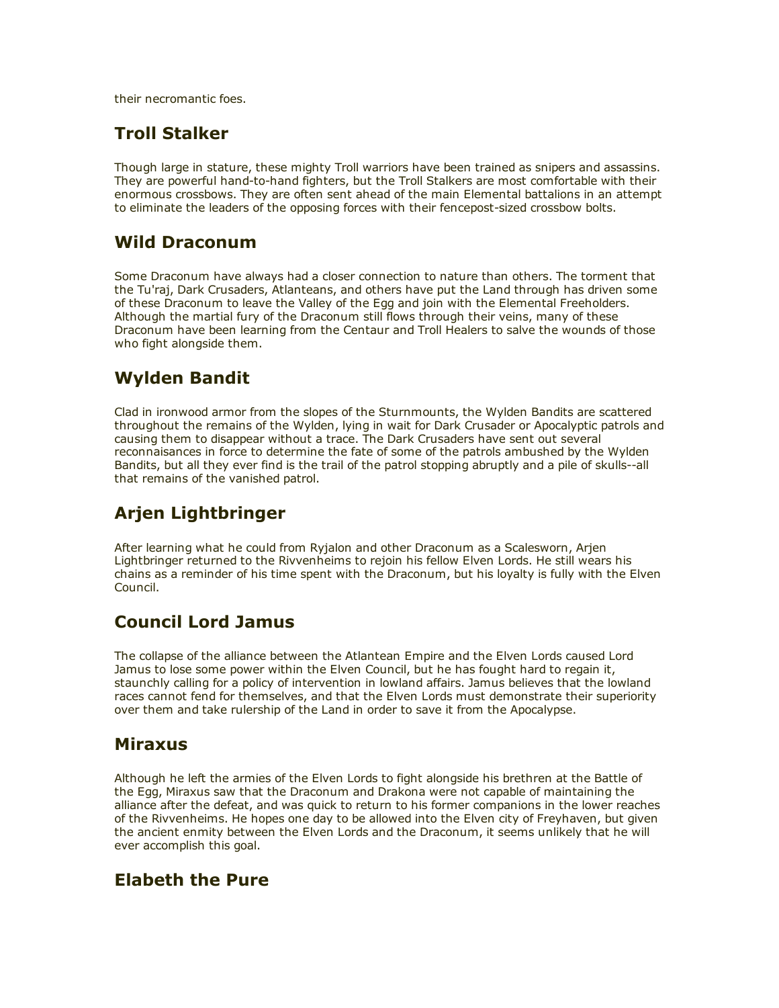their necromantic foes.

#### Troll Stalker

Though large in stature, these mighty Troll warriors have been trained as snipers and assassins. They are powerful hand-to-hand fighters, but the Troll Stalkers are most comfortable with their enormous crossbows. They are often sent ahead of the main Elemental battalions in an attempt to eliminate the leaders of the opposing forces with their fencepost-sized crossbow bolts.

## Wild Draconum

Some Draconum have always had a closer connection to nature than others. The torment that the Tu'raj, Dark Crusaders, Atlanteans, and others have put the Land through has driven some of these Draconum to leave the Valley of the Egg and join with the Elemental Freeholders. Although the martial fury of the Draconum still flows through their veins, many of these Draconum have been learning from the Centaur and Troll Healers to salve the wounds of those who fight alongside them.

# Wylden Bandit

Clad in ironwood armor from the slopes of the Sturnmounts, the Wylden Bandits are scattered throughout the remains of the Wylden, lying in wait for Dark Crusader or Apocalyptic patrols and causing them to disappear without a trace. The Dark Crusaders have sent out several reconnaisances in force to determine the fate of some of the patrols ambushed by the Wylden Bandits, but all they ever find is the trail of the patrol stopping abruptly and a pile of skulls--all that remains of the vanished patrol.

# Arjen Lightbringer

After learning what he could from Ryjalon and other Draconum as a Scalesworn, Arjen Lightbringer returned to the Rivvenheims to rejoin his fellow Elven Lords. He still wears his chains as a reminder of his time spent with the Draconum, but his loyalty is fully with the Elven Council.

# Council Lord Jamus

The collapse of the alliance between the Atlantean Empire and the Elven Lords caused Lord Jamus to lose some power within the Elven Council, but he has fought hard to regain it, staunchly calling for a policy of intervention in lowland affairs. Jamus believes that the lowland races cannot fend for themselves, and that the Elven Lords must demonstrate their superiority over them and take rulership of the Land in order to save it from the Apocalypse.

#### Miraxus

Although he left the armies of the Elven Lords to fight alongside his brethren at the Battle of the Egg, Miraxus saw that the Draconum and Drakona were not capable of maintaining the alliance after the defeat, and was quick to return to his former companions in the lower reaches of the Rivvenheims. He hopes one day to be allowed into the Elven city of Freyhaven, but given the ancient enmity between the Elven Lords and the Draconum, it seems unlikely that he will ever accomplish this goal.

#### Elabeth the Pure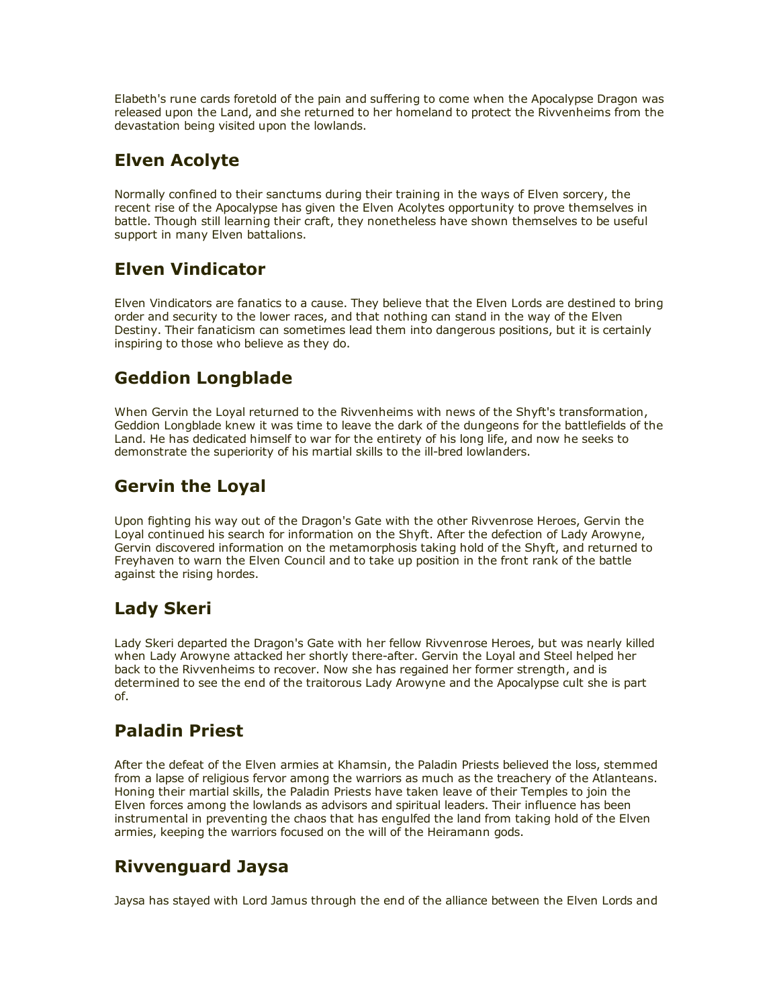Elabeth's rune cards foretold of the pain and suffering to come when the Apocalypse Dragon was released upon the Land, and she returned to her homeland to protect the Rivvenheims from the devastation being visited upon the lowlands.

# Elven Acolyte

Normally confined to their sanctums during their training in the ways of Elven sorcery, the recent rise of the Apocalypse has given the Elven Acolytes opportunity to prove themselves in battle. Though still learning their craft, they nonetheless have shown themselves to be useful support in many Elven battalions.

# Elven Vindicator

Elven Vindicators are fanatics to a cause. They believe that the Elven Lords are destined to bring order and security to the lower races, and that nothing can stand in the way of the Elven Destiny. Their fanaticism can sometimes lead them into dangerous positions, but it is certainly inspiring to those who believe as they do.

# Geddion Longblade

When Gervin the Loyal returned to the Rivvenheims with news of the Shyft's transformation, Geddion Longblade knew it was time to leave the dark of the dungeons for the battlefields of the Land. He has dedicated himself to war for the entirety of his long life, and now he seeks to demonstrate the superiority of his martial skills to the ill-bred lowlanders.

# Gervin the Loyal

Upon fighting his way out of the Dragon's Gate with the other Rivvenrose Heroes, Gervin the Loyal continued his search for information on the Shyft. After the defection of Lady Arowyne, Gervin discovered information on the metamorphosis taking hold of the Shyft, and returned to Freyhaven to warn the Elven Council and to take up position in the front rank of the battle against the rising hordes.

# Lady Skeri

Lady Skeri departed the Dragon's Gate with her fellow Rivvenrose Heroes, but was nearly killed when Lady Arowyne attacked her shortly there-after. Gervin the Loyal and Steel helped her back to the Rivvenheims to recover. Now she has regained her former strength, and is determined to see the end of the traitorous Lady Arowyne and the Apocalypse cult she is part of.

# Paladin Priest

After the defeat of the Elven armies at Khamsin, the Paladin Priests believed the loss, stemmed from a lapse of religious fervor among the warriors as much as the treachery of the Atlanteans. Honing their martial skills, the Paladin Priests have taken leave of their Temples to join the Elven forces among the lowlands as advisors and spiritual leaders. Their influence has been instrumental in preventing the chaos that has engulfed the land from taking hold of the Elven armies, keeping the warriors focused on the will of the Heiramann gods.

# Rivvenguard Jaysa

Jaysa has stayed with Lord Jamus through the end of the alliance between the Elven Lords and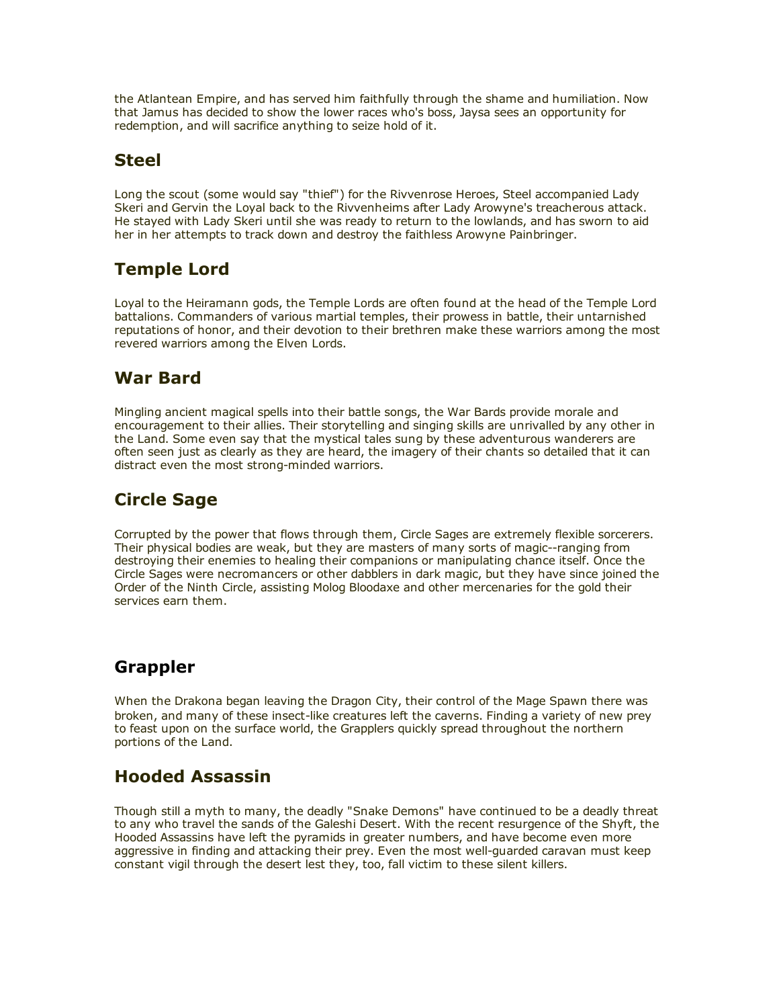the Atlantean Empire, and has served him faithfully through the shame and humiliation. Now that Jamus has decided to show the lower races who's boss, Jaysa sees an opportunity for redemption, and will sacrifice anything to seize hold of it.

# Steel

Long the scout (some would say "thief") for the Rivvenrose Heroes, Steel accompanied Lady Skeri and Gervin the Loyal back to the Rivvenheims after Lady Arowyne's treacherous attack. He stayed with Lady Skeri until she was ready to return to the lowlands, and has sworn to aid her in her attempts to track down and destroy the faithless Arowyne Painbringer.

# Temple Lord

Loyal to the Heiramann gods, the Temple Lords are often found at the head of the Temple Lord battalions. Commanders of various martial temples, their prowess in battle, their untarnished reputations of honor, and their devotion to their brethren make these warriors among the most revered warriors among the Elven Lords.

# War Bard

Mingling ancient magical spells into their battle songs, the War Bards provide morale and encouragement to their allies. Their storytelling and singing skills are unrivalled by any other in the Land. Some even say that the mystical tales sung by these adventurous wanderers are often seen just as clearly as they are heard, the imagery of their chants so detailed that it can distract even the most strong-minded warriors.

# Circle Sage

Corrupted by the power that flows through them, Circle Sages are extremely flexible sorcerers. Their physical bodies are weak, but they are masters of many sorts of magic--ranging from destroying their enemies to healing their companions or manipulating chance itself. Once the Circle Sages were necromancers or other dabblers in dark magic, but they have since joined the Order of the Ninth Circle, assisting Molog Bloodaxe and other mercenaries for the gold their services earn them.

# Grappler

When the Drakona began leaving the Dragon City, their control of the Mage Spawn there was broken, and many of these insect-like creatures left the caverns. Finding a variety of new prey to feast upon on the surface world, the Grapplers quickly spread throughout the northern portions of the Land.

# Hooded Assassin

Though still a myth to many, the deadly "Snake Demons" have continued to be a deadly threat to any who travel the sands of the Galeshi Desert. With the recent resurgence of the Shyft, the Hooded Assassins have left the pyramids in greater numbers, and have become even more aggressive in finding and attacking their prey. Even the most well-guarded caravan must keep constant vigil through the desert lest they, too, fall victim to these silent killers.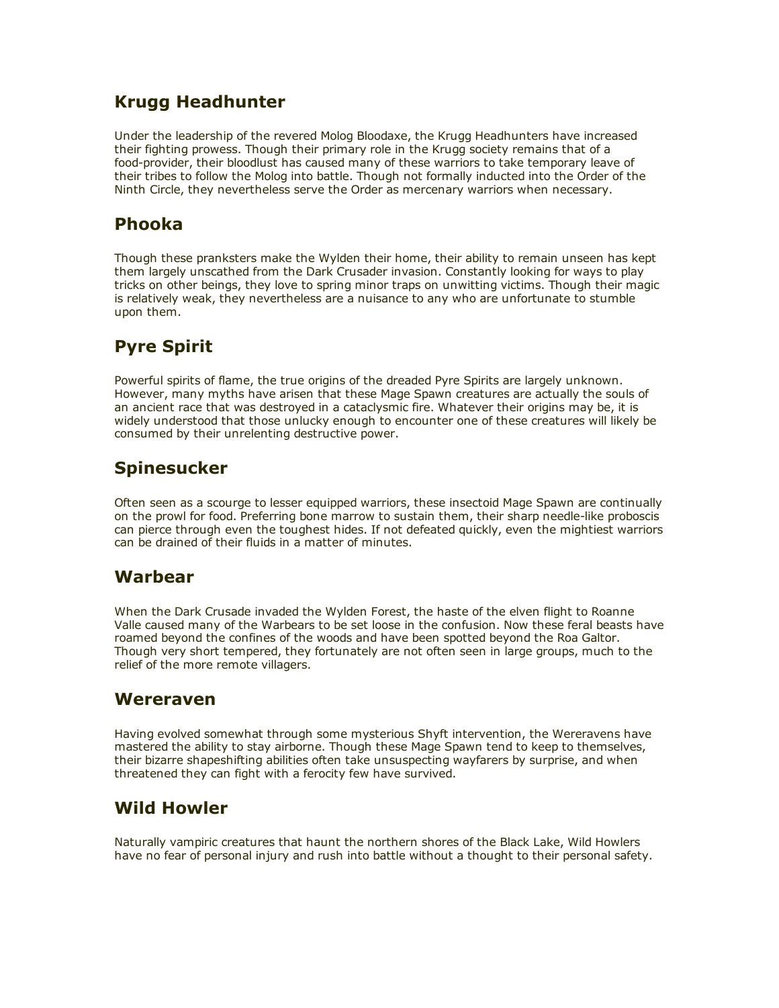# Krugg Headhunter

Under the leadership of the revered Molog Bloodaxe, the Krugg Headhunters have increased their fighting prowess. Though their primary role in the Krugg society remains that of a food-provider, their bloodlust has caused many of these warriors to take temporary leave of their tribes to follow the Molog into battle. Though not formally inducted into the Order of the Ninth Circle, they nevertheless serve the Order as mercenary warriors when necessary.

#### Phooka

Though these pranksters make the Wylden their home, their ability to remain unseen has kept them largely unscathed from the Dark Crusader invasion. Constantly looking for ways to play tricks on other beings, they love to spring minor traps on unwitting victims. Though their magic is relatively weak, they nevertheless are a nuisance to any who are unfortunate to stumble upon them.

# Pyre Spirit

Powerful spirits of flame, the true origins of the dreaded Pyre Spirits are largely unknown. However, many myths have arisen that these Mage Spawn creatures are actually the souls of an ancient race that was destroyed in a cataclysmic fire. Whatever their origins may be, it is widely understood that those unlucky enough to encounter one of these creatures will likely be consumed by their unrelenting destructive power.

#### Spinesucker

Often seen as a scourge to lesser equipped warriors, these insectoid Mage Spawn are continually on the prowl for food. Preferring bone marrow to sustain them, their sharp needle-like proboscis can pierce through even the toughest hides. If not defeated quickly, even the mightiest warriors can be drained of their fluids in a matter of minutes.

#### Warbear

When the Dark Crusade invaded the Wylden Forest, the haste of the elven flight to Roanne Valle caused many of the Warbears to be set loose in the confusion. Now these feral beasts have roamed beyond the confines of the woods and have been spotted beyond the Roa Galtor. Though very short tempered, they fortunately are not often seen in large groups, much to the relief of the more remote villagers.

#### Wereraven

Having evolved somewhat through some mysterious Shyft intervention, the Wereravens have mastered the ability to stay airborne. Though these Mage Spawn tend to keep to themselves, their bizarre shapeshifting abilities often take unsuspecting wayfarers by surprise, and when threatened they can fight with a ferocity few have survived.

#### Wild Howler

Naturally vampiric creatures that haunt the northern shores of the Black Lake, Wild Howlers have no fear of personal injury and rush into battle without a thought to their personal safety.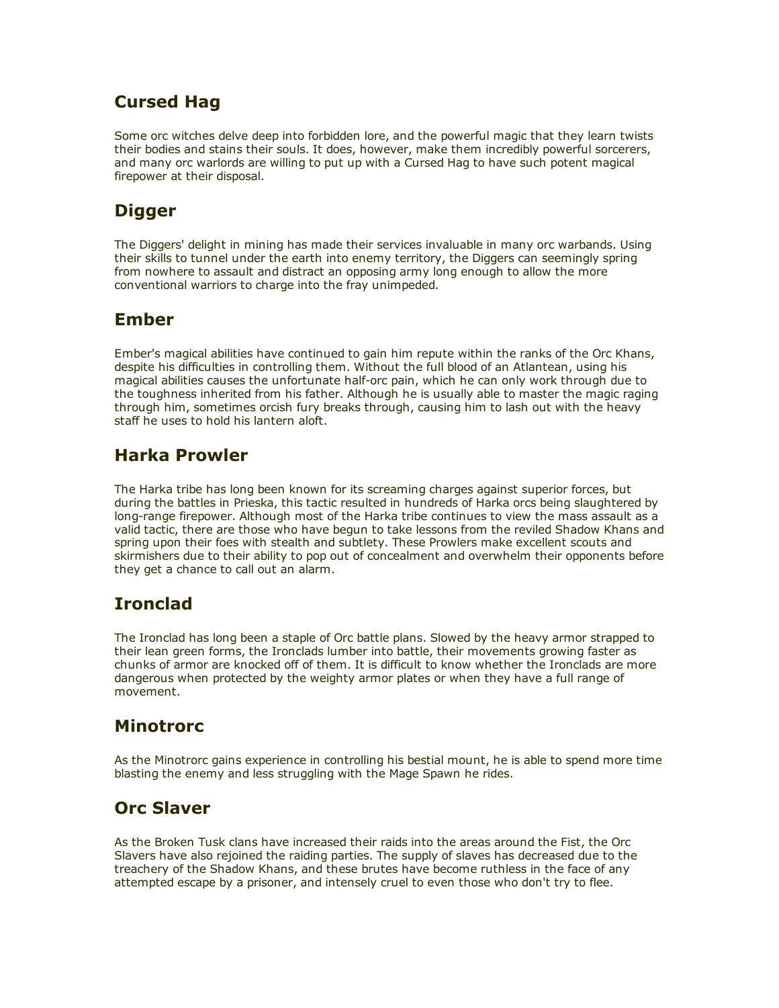# Cursed Hag

Some orc witches delve deep into forbidden lore, and the powerful magic that they learn twists their bodies and stains their souls. It does, however, make them incredibly powerful sorcerers, and many orc warlords are willing to put up with a Cursed Hag to have such potent magical firepower at their disposal.

# **Digger**

The Diggers' delight in mining has made their services invaluable in many orc warbands. Using their skills to tunnel under the earth into enemy territory, the Diggers can seemingly spring from nowhere to assault and distract an opposing army long enough to allow the more conventional warriors to charge into the fray unimpeded.

# Ember

Ember's magical abilities have continued to gain him repute within the ranks of the Orc Khans, despite his difficulties in controlling them. Without the full blood of an Atlantean, using his magical abilities causes the unfortunate half-orc pain, which he can only work through due to the toughness inherited from his father. Although he is usually able to master the magic raging through him, sometimes orcish fury breaks through, causing him to lash out with the heavy staff he uses to hold his lantern aloft.

# Harka Prowler

The Harka tribe has long been known for its screaming charges against superior forces, but during the battles in Prieska, this tactic resulted in hundreds of Harka orcs being slaughtered by long-range firepower. Although most of the Harka tribe continues to view the mass assault as a valid tactic, there are those who have begun to take lessons from the reviled Shadow Khans and spring upon their foes with stealth and subtlety. These Prowlers make excellent scouts and skirmishers due to their ability to pop out of concealment and overwhelm their opponents before they get a chance to call out an alarm.

# Ironclad

The Ironclad has long been a staple of Orc battle plans. Slowed by the heavy armor strapped to their lean green forms, the Ironclads lumber into battle, their movements growing faster as chunks of armor are knocked off of them. It is difficult to know whether the Ironclads are more dangerous when protected by the weighty armor plates or when they have a full range of movement.

# Minotrorc

As the Minotrorc gains experience in controlling his bestial mount, he is able to spend more time blasting the enemy and less struggling with the Mage Spawn he rides.

# Orc Slaver

As the Broken Tusk clans have increased their raids into the areas around the Fist, the Orc Slavers have also rejoined the raiding parties. The supply of slaves has decreased due to the treachery of the Shadow Khans, and these brutes have become ruthless in the face of any attempted escape by a prisoner, and intensely cruel to even those who don't try to flee.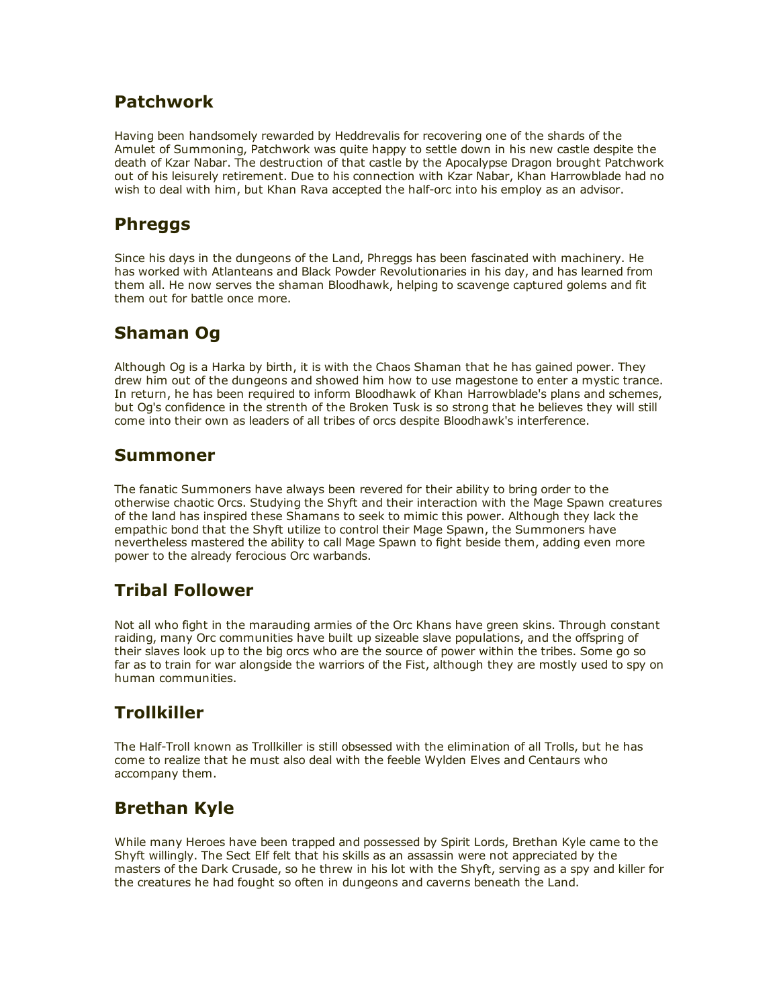#### Patchwork

Having been handsomely rewarded by Heddrevalis for recovering one of the shards of the Amulet of Summoning, Patchwork was quite happy to settle down in his new castle despite the death of Kzar Nabar. The destruction of that castle by the Apocalypse Dragon brought Patchwork out of his leisurely retirement. Due to his connection with Kzar Nabar, Khan Harrowblade had no wish to deal with him, but Khan Rava accepted the half-orc into his employ as an advisor.

### Phreggs

Since his days in the dungeons of the Land, Phreggs has been fascinated with machinery. He has worked with Atlanteans and Black Powder Revolutionaries in his day, and has learned from them all. He now serves the shaman Bloodhawk, helping to scavenge captured golems and fit them out for battle once more.

### Shaman Og

Although Og is a Harka by birth, it is with the Chaos Shaman that he has gained power. They drew him out of the dungeons and showed him how to use magestone to enter a mystic trance. In return, he has been required to inform Bloodhawk of Khan Harrowblade's plans and schemes, but Og's confidence in the strenth of the Broken Tusk is so strong that he believes they will still come into their own as leaders of all tribes of orcs despite Bloodhawk's interference.

#### Summoner

The fanatic Summoners have always been revered for their ability to bring order to the otherwise chaotic Orcs. Studying the Shyft and their interaction with the Mage Spawn creatures of the land has inspired these Shamans to seek to mimic this power. Although they lack the empathic bond that the Shyft utilize to control their Mage Spawn, the Summoners have nevertheless mastered the ability to call Mage Spawn to fight beside them, adding even more power to the already ferocious Orc warbands.

# Tribal Follower

Not all who fight in the marauding armies of the Orc Khans have green skins. Through constant raiding, many Orc communities have built up sizeable slave populations, and the offspring of their slaves look up to the big orcs who are the source of power within the tribes. Some go so far as to train for war alongside the warriors of the Fist, although they are mostly used to spy on human communities.

# **Trollkiller**

The Half-Troll known as Trollkiller is still obsessed with the elimination of all Trolls, but he has come to realize that he must also deal with the feeble Wylden Elves and Centaurs who accompany them.

# Brethan Kyle

While many Heroes have been trapped and possessed by Spirit Lords, Brethan Kyle came to the Shyft willingly. The Sect Elf felt that his skills as an assassin were not appreciated by the masters of the Dark Crusade, so he threw in his lot with the Shyft, serving as a spy and killer for the creatures he had fought so often in dungeons and caverns beneath the Land.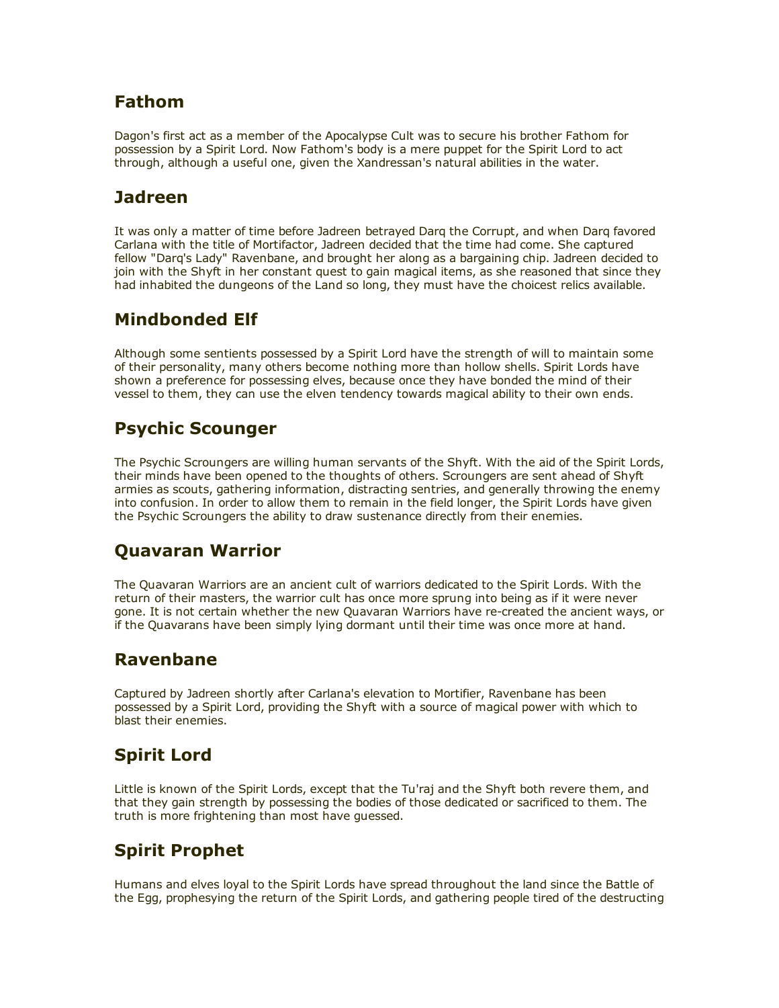#### Fathom

Dagon's first act as a member of the Apocalypse Cult was to secure his brother Fathom for possession by a Spirit Lord. Now Fathom's body is a mere puppet for the Spirit Lord to act through, although a useful one, given the Xandressan's natural abilities in the water.

## Jadreen

It was only a matter of time before Jadreen betrayed Darq the Corrupt, and when Darq favored Carlana with the title of Mortifactor, Jadreen decided that the time had come. She captured fellow "Darq's Lady" Ravenbane, and brought her along as a bargaining chip. Jadreen decided to join with the Shyft in her constant quest to gain magical items, as she reasoned that since they had inhabited the dungeons of the Land so long, they must have the choicest relics available.

# Mindbonded Elf

Although some sentients possessed by a Spirit Lord have the strength of will to maintain some of their personality, many others become nothing more than hollow shells. Spirit Lords have shown a preference for possessing elves, because once they have bonded the mind of their vessel to them, they can use the elven tendency towards magical ability to their own ends.

# Psychic Scounger

The Psychic Scroungers are willing human servants of the Shyft. With the aid of the Spirit Lords, their minds have been opened to the thoughts of others. Scroungers are sent ahead of Shyft armies as scouts, gathering information, distracting sentries, and generally throwing the enemy into confusion. In order to allow them to remain in the field longer, the Spirit Lords have given the Psychic Scroungers the ability to draw sustenance directly from their enemies.

# Quavaran Warrior

The Quavaran Warriors are an ancient cult of warriors dedicated to the Spirit Lords. With the return of their masters, the warrior cult has once more sprung into being as if it were never gone. It is not certain whether the new Quavaran Warriors have re-created the ancient ways, or if the Quavarans have been simply lying dormant until their time was once more at hand.

#### Ravenbane

Captured by Jadreen shortly after Carlana's elevation to Mortifier, Ravenbane has been possessed by a Spirit Lord, providing the Shyft with a source of magical power with which to blast their enemies.

# Spirit Lord

Little is known of the Spirit Lords, except that the Tu'raj and the Shyft both revere them, and that they gain strength by possessing the bodies of those dedicated or sacrificed to them. The truth is more frightening than most have guessed.

# Spirit Prophet

Humans and elves loyal to the Spirit Lords have spread throughout the land since the Battle of the Egg, prophesying the return of the Spirit Lords, and gathering people tired of the destructing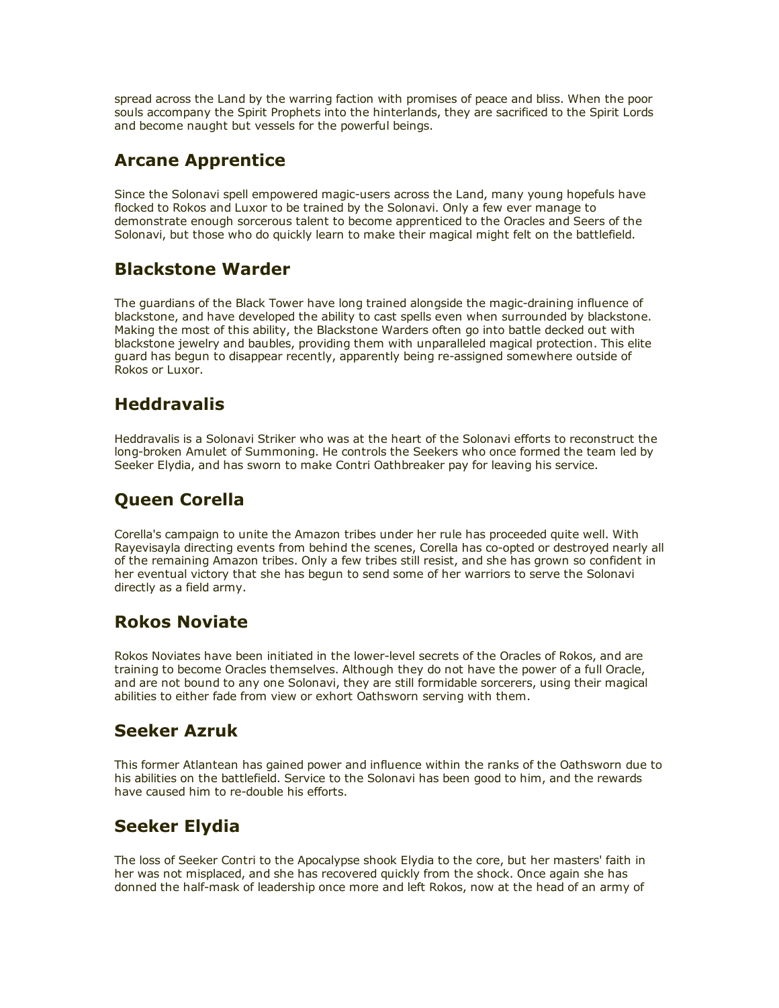spread across the Land by the warring faction with promises of peace and bliss. When the poor souls accompany the Spirit Prophets into the hinterlands, they are sacrificed to the Spirit Lords and become naught but vessels for the powerful beings.

# Arcane Apprentice

Since the Solonavi spell empowered magic-users across the Land, many young hopefuls have flocked to Rokos and Luxor to be trained by the Solonavi. Only a few ever manage to demonstrate enough sorcerous talent to become apprenticed to the Oracles and Seers of the Solonavi, but those who do quickly learn to make their magical might felt on the battlefield.

# Blackstone Warder

The guardians of the Black Tower have long trained alongside the magic-draining influence of blackstone, and have developed the ability to cast spells even when surrounded by blackstone. Making the most of this ability, the Blackstone Warders often go into battle decked out with blackstone jewelry and baubles, providing them with unparalleled magical protection. This elite guard has begun to disappear recently, apparently being re-assigned somewhere outside of Rokos or Luxor.

# **Heddravalis**

Heddravalis is a Solonavi Striker who was at the heart of the Solonavi efforts to reconstruct the long-broken Amulet of Summoning. He controls the Seekers who once formed the team led by Seeker Elydia, and has sworn to make Contri Oathbreaker pay for leaving his service.

# Queen Corella

Corella's campaign to unite the Amazon tribes under her rule has proceeded quite well. With Rayevisayla directing events from behind the scenes, Corella has co-opted or destroyed nearly all of the remaining Amazon tribes. Only a few tribes still resist, and she has grown so confident in her eventual victory that she has begun to send some of her warriors to serve the Solonavi directly as a field army.

# Rokos Noviate

Rokos Noviates have been initiated in the lower-level secrets of the Oracles of Rokos, and are training to become Oracles themselves. Although they do not have the power of a full Oracle, and are not bound to any one Solonavi, they are still formidable sorcerers, using their magical abilities to either fade from view or exhort Oathsworn serving with them.

# Seeker Azruk

This former Atlantean has gained power and influence within the ranks of the Oathsworn due to his abilities on the battlefield. Service to the Solonavi has been good to him, and the rewards have caused him to re-double his efforts.

# Seeker Elydia

The loss of Seeker Contri to the Apocalypse shook Elydia to the core, but her masters' faith in her was not misplaced, and she has recovered quickly from the shock. Once again she has donned the half-mask of leadership once more and left Rokos, now at the head of an army of